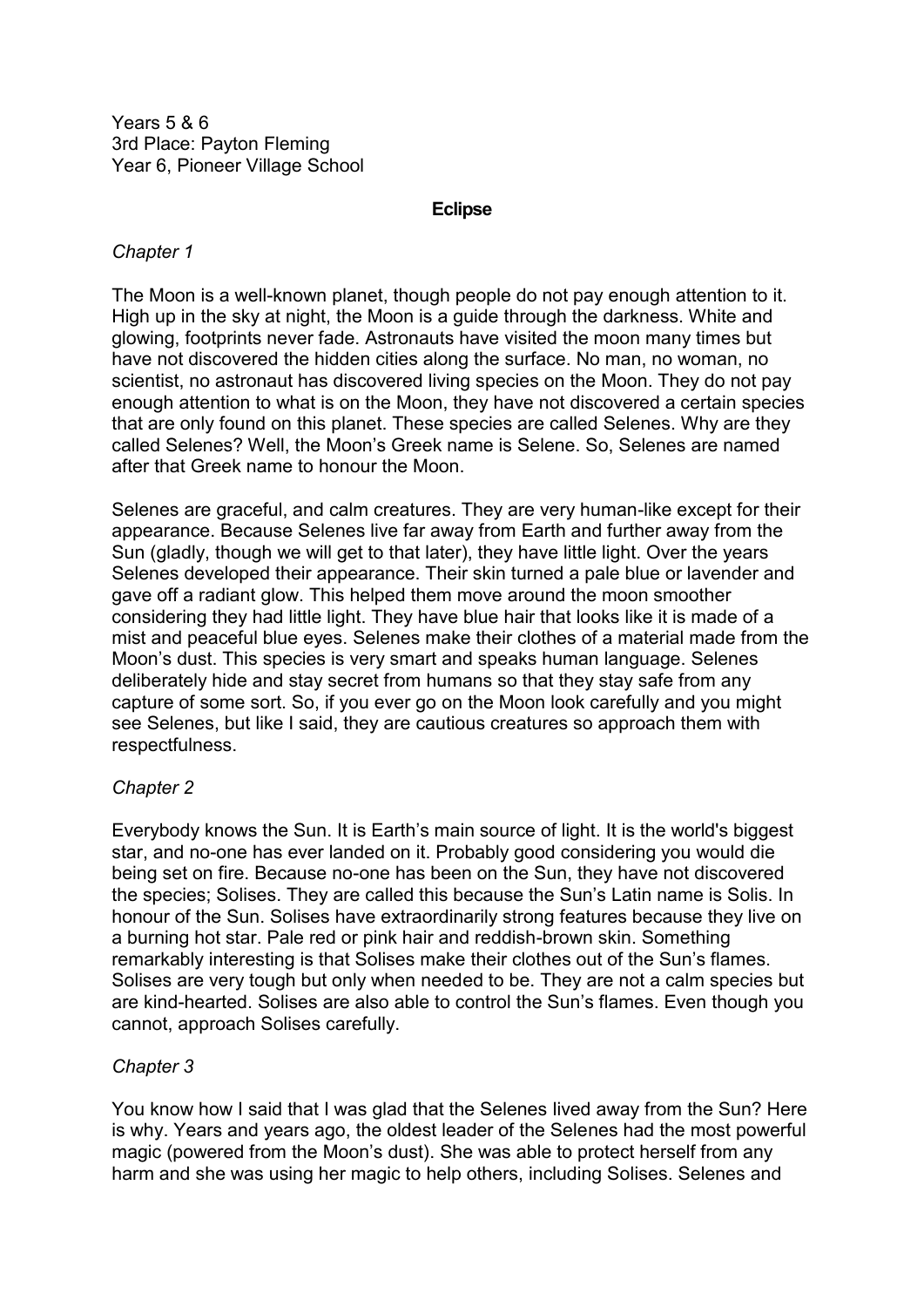Years 5 & 6 3rd Place: Payton Fleming Year 6, Pioneer Village School

#### **Eclipse**

#### *Chapter 1*

The Moon is a well-known planet, though people do not pay enough attention to it. High up in the sky at night, the Moon is a guide through the darkness. White and glowing, footprints never fade. Astronauts have visited the moon many times but have not discovered the hidden cities along the surface. No man, no woman, no scientist, no astronaut has discovered living species on the Moon. They do not pay enough attention to what is on the Moon, they have not discovered a certain species that are only found on this planet. These species are called Selenes. Why are they called Selenes? Well, the Moon's Greek name is Selene. So, Selenes are named after that Greek name to honour the Moon.

Selenes are graceful, and calm creatures. They are very human-like except for their appearance. Because Selenes live far away from Earth and further away from the Sun (gladly, though we will get to that later), they have little light. Over the years Selenes developed their appearance. Their skin turned a pale blue or lavender and gave off a radiant glow. This helped them move around the moon smoother considering they had little light. They have blue hair that looks like it is made of a mist and peaceful blue eyes. Selenes make their clothes of a material made from the Moon's dust. This species is very smart and speaks human language. Selenes deliberately hide and stay secret from humans so that they stay safe from any capture of some sort. So, if you ever go on the Moon look carefully and you might see Selenes, but like I said, they are cautious creatures so approach them with respectfulness.

## *Chapter 2*

Everybody knows the Sun. It is Earth's main source of light. It is the world's biggest star, and no-one has ever landed on it. Probably good considering you would die being set on fire. Because no-one has been on the Sun, they have not discovered the species; Solises. They are called this because the Sun's Latin name is Solis. In honour of the Sun. Solises have extraordinarily strong features because they live on a burning hot star. Pale red or pink hair and reddish-brown skin. Something remarkably interesting is that Solises make their clothes out of the Sun's flames. Solises are very tough but only when needed to be. They are not a calm species but are kind-hearted. Solises are also able to control the Sun's flames. Even though you cannot, approach Solises carefully.

## *Chapter 3*

You know how I said that I was glad that the Selenes lived away from the Sun? Here is why. Years and years ago, the oldest leader of the Selenes had the most powerful magic (powered from the Moon's dust). She was able to protect herself from any harm and she was using her magic to help others, including Solises. Selenes and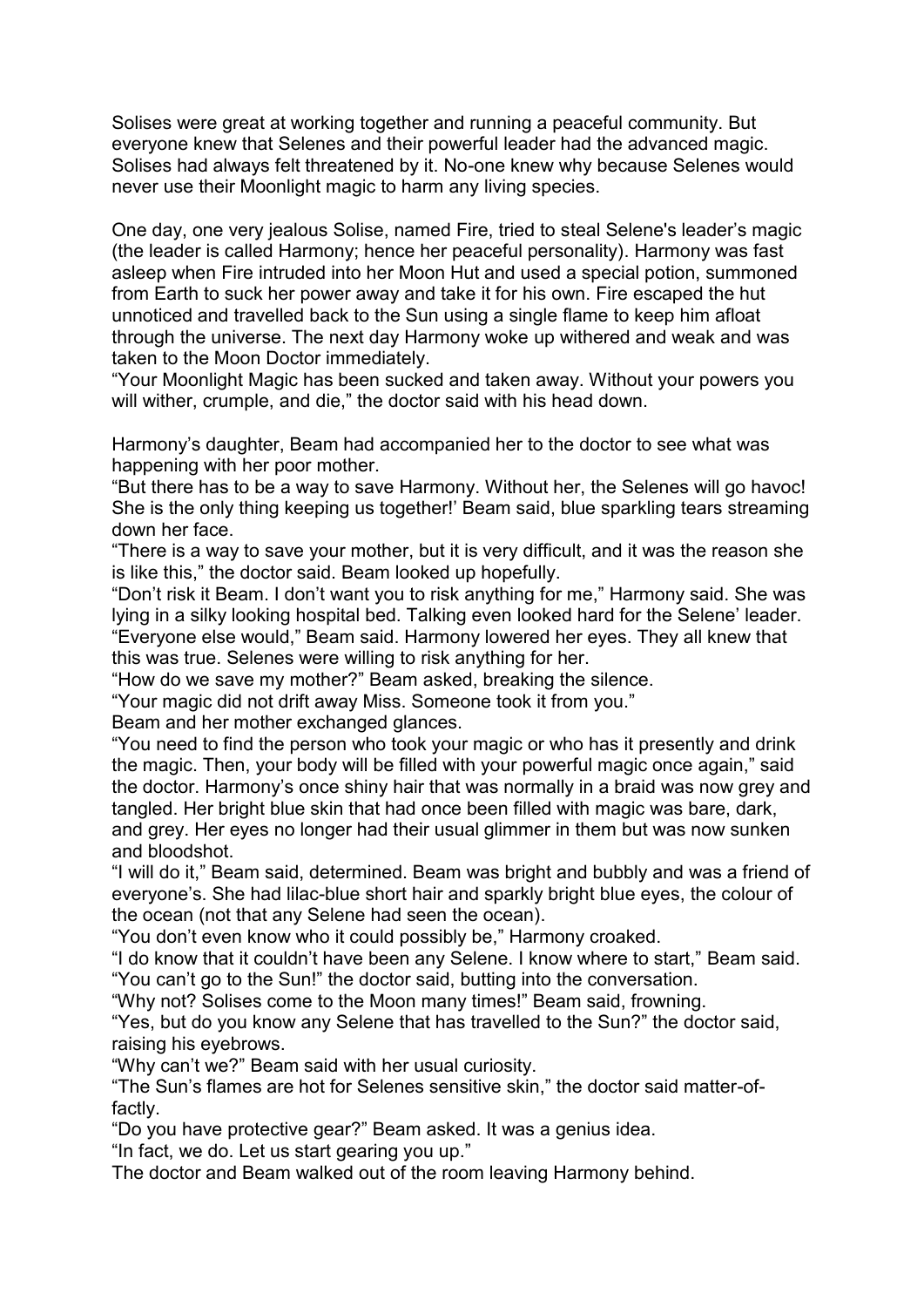Solises were great at working together and running a peaceful community. But everyone knew that Selenes and their powerful leader had the advanced magic. Solises had always felt threatened by it. No-one knew why because Selenes would never use their Moonlight magic to harm any living species.

One day, one very jealous Solise, named Fire, tried to steal Selene's leader's magic (the leader is called Harmony; hence her peaceful personality). Harmony was fast asleep when Fire intruded into her Moon Hut and used a special potion, summoned from Earth to suck her power away and take it for his own. Fire escaped the hut unnoticed and travelled back to the Sun using a single flame to keep him afloat through the universe. The next day Harmony woke up withered and weak and was taken to the Moon Doctor immediately.

"Your Moonlight Magic has been sucked and taken away. Without your powers you will wither, crumple, and die," the doctor said with his head down.

Harmony's daughter, Beam had accompanied her to the doctor to see what was happening with her poor mother.

"But there has to be a way to save Harmony. Without her, the Selenes will go havoc! She is the only thing keeping us together!' Beam said, blue sparkling tears streaming down her face.

"There is a way to save your mother, but it is very difficult, and it was the reason she is like this," the doctor said. Beam looked up hopefully.

"Don't risk it Beam. I don't want you to risk anything for me," Harmony said. She was lying in a silky looking hospital bed. Talking even looked hard for the Selene' leader. "Everyone else would," Beam said. Harmony lowered her eyes. They all knew that this was true. Selenes were willing to risk anything for her.

"How do we save my mother?" Beam asked, breaking the silence.

"Your magic did not drift away Miss. Someone took it from you."

Beam and her mother exchanged glances.

"You need to find the person who took your magic or who has it presently and drink the magic. Then, your body will be filled with your powerful magic once again," said the doctor. Harmony's once shiny hair that was normally in a braid was now grey and tangled. Her bright blue skin that had once been filled with magic was bare, dark, and grey. Her eyes no longer had their usual glimmer in them but was now sunken and bloodshot.

"I will do it," Beam said, determined. Beam was bright and bubbly and was a friend of everyone's. She had lilac-blue short hair and sparkly bright blue eyes, the colour of the ocean (not that any Selene had seen the ocean).

"You don't even know who it could possibly be," Harmony croaked.

"I do know that it couldn't have been any Selene. I know where to start," Beam said. "You can't go to the Sun!" the doctor said, butting into the conversation.

"Why not? Solises come to the Moon many times!" Beam said, frowning.

"Yes, but do you know any Selene that has travelled to the Sun?" the doctor said, raising his eyebrows.

"Why can't we?" Beam said with her usual curiosity.

"The Sun's flames are hot for Selenes sensitive skin," the doctor said matter-offactly.

"Do you have protective gear?" Beam asked. It was a genius idea.

"In fact, we do. Let us start gearing you up."

The doctor and Beam walked out of the room leaving Harmony behind.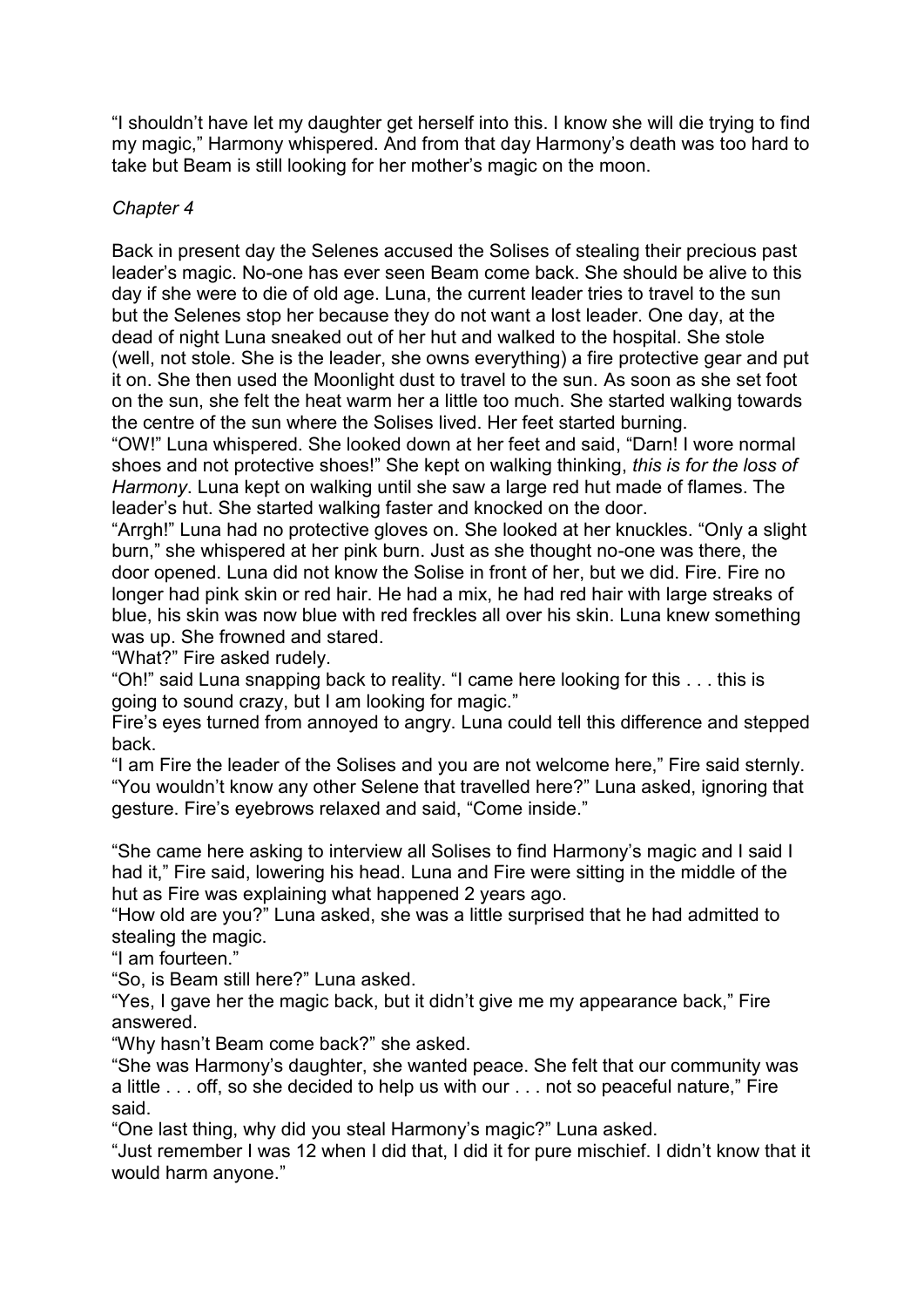"I shouldn't have let my daughter get herself into this. I know she will die trying to find my magic," Harmony whispered. And from that day Harmony's death was too hard to take but Beam is still looking for her mother's magic on the moon.

# *Chapter 4*

Back in present day the Selenes accused the Solises of stealing their precious past leader's magic. No-one has ever seen Beam come back. She should be alive to this day if she were to die of old age. Luna, the current leader tries to travel to the sun but the Selenes stop her because they do not want a lost leader. One day, at the dead of night Luna sneaked out of her hut and walked to the hospital. She stole (well, not stole. She is the leader, she owns everything) a fire protective gear and put it on. She then used the Moonlight dust to travel to the sun. As soon as she set foot on the sun, she felt the heat warm her a little too much. She started walking towards the centre of the sun where the Solises lived. Her feet started burning.

"OW!" Luna whispered. She looked down at her feet and said, "Darn! I wore normal shoes and not protective shoes!" She kept on walking thinking, *this is for the loss of Harmony*. Luna kept on walking until she saw a large red hut made of flames. The leader's hut. She started walking faster and knocked on the door.

"Arrgh!" Luna had no protective gloves on. She looked at her knuckles. "Only a slight burn," she whispered at her pink burn. Just as she thought no-one was there, the door opened. Luna did not know the Solise in front of her, but we did. Fire. Fire no longer had pink skin or red hair. He had a mix, he had red hair with large streaks of blue, his skin was now blue with red freckles all over his skin. Luna knew something was up. She frowned and stared.

"What?" Fire asked rudely.

"Oh!" said Luna snapping back to reality. "I came here looking for this . . . this is going to sound crazy, but I am looking for magic."

Fire's eyes turned from annoyed to angry. Luna could tell this difference and stepped back.

"I am Fire the leader of the Solises and you are not welcome here," Fire said sternly. "You wouldn't know any other Selene that travelled here?" Luna asked, ignoring that gesture. Fire's eyebrows relaxed and said, "Come inside."

"She came here asking to interview all Solises to find Harmony's magic and I said I had it," Fire said, lowering his head. Luna and Fire were sitting in the middle of the hut as Fire was explaining what happened 2 years ago.

"How old are you?" Luna asked, she was a little surprised that he had admitted to stealing the magic.

"I am fourteen."

"So, is Beam still here?" Luna asked.

"Yes, I gave her the magic back, but it didn't give me my appearance back," Fire answered.

"Why hasn't Beam come back?" she asked.

"She was Harmony's daughter, she wanted peace. She felt that our community was a little . . . off, so she decided to help us with our . . . not so peaceful nature," Fire said.

"One last thing, why did you steal Harmony's magic?" Luna asked.

"Just remember I was 12 when I did that, I did it for pure mischief. I didn't know that it would harm anyone."